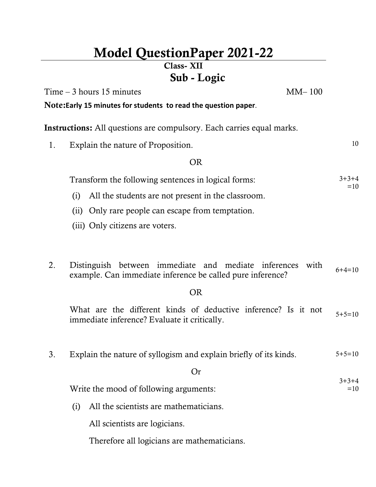# **Model QuestionPaper 2021-22**

## **Class- XII Sub - Logic**

 $Time - 3 hours 15 minutes$  MM– 100

 $3+3+4$  $=10$ 

**Note:Early 15 minutes for students to read the question paper**.

**Instructions:** All questions are compulsory. Each carries equal marks.

1. Explain the nature of Proposition. 10

#### OR

| Transform the following sentences in logical forms: | $3+3+4$ |
|-----------------------------------------------------|---------|
|                                                     | $=10$   |

- (i) All the students are not present in the classroom.
- (ii) Only rare people can escape from temptation.
- (iii) Only citizens are voters.
- 2. Distinguish between immediate and mediate inferences with Example. Can immediate inference be called pure inference?  $6+4=10$ <br>example. Can immediate inference be called pure inference?

### OR

What are the different kinds of deductive inference? Is it not what are the directive mediate inference? Evaluate it critically.

3. Explain the nature of syllogism and explain briefly of its kinds.  $5+5=10$ 

Or

Write the mood of following arguments:

(i) All the scientists are mathematicians.

All scientists are logicians.

Therefore all logicians are mathematicians.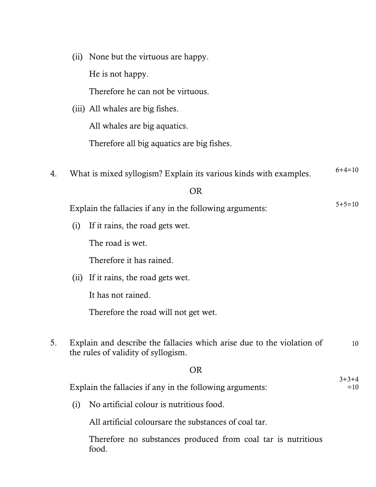|    |      | He is not happy.                                                                                              |                  |
|----|------|---------------------------------------------------------------------------------------------------------------|------------------|
|    |      | Therefore he can not be virtuous.                                                                             |                  |
|    |      | (iii) All whales are big fishes.                                                                              |                  |
|    |      | All whales are big aquatics.                                                                                  |                  |
|    |      | Therefore all big aquatics are big fishes.                                                                    |                  |
| 4. |      | What is mixed syllogism? Explain its various kinds with examples.                                             | $6+4=10$         |
|    |      | <b>OR</b>                                                                                                     |                  |
|    |      | Explain the fallacies if any in the following arguments:                                                      | $5 + 5 = 10$     |
|    |      |                                                                                                               |                  |
|    | (i)  | If it rains, the road gets wet.                                                                               |                  |
|    |      | The road is wet.                                                                                              |                  |
|    |      | Therefore it has rained.                                                                                      |                  |
|    | (ii) | If it rains, the road gets wet.                                                                               |                  |
|    |      | It has not rained.                                                                                            |                  |
|    |      | Therefore the road will not get wet.                                                                          |                  |
| 5. |      | Explain and describe the fallacies which arise due to the violation of<br>the rules of validity of syllogism. | 10               |
|    |      | <b>OR</b>                                                                                                     |                  |
|    |      | Explain the fallacies if any in the following arguments:                                                      | $3+3+4$<br>$=10$ |
|    | (i)  | No artificial colour is nutritious food.                                                                      |                  |
|    |      | All artificial coloursare the substances of coal tar.                                                         |                  |
|    |      | Therefore no substances produced from coal tar is nutritious<br>food.                                         |                  |

(ii) None but the virtuous are happy.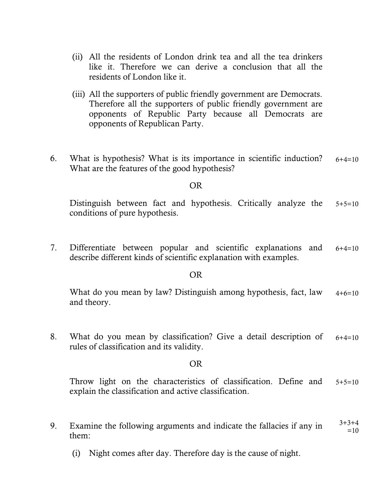- (ii) All the residents of London drink tea and all the tea drinkers like it. Therefore we can derive a conclusion that all the residents of London like it.
- (iii) All the supporters of public friendly government are Democrats. Therefore all the supporters of public friendly government are opponents of Republic Party because all Democrats are opponents of Republican Party.
- 6. What is hypothesis? What is its importance in scientific induction? What are the features of the good hypothesis?  $6+4=10$

#### OR

Distinguish between fact and hypothesis. Critically analyze the conditions of pure hypothesis.  $5+5=10$ 

7. Differentiate between popular and scientific explanations and describe different kinds of scientific explanation with examples.  $6+4=10$ 

#### OR

What do you mean by law? Distinguish among hypothesis, fact, law and theory.  $4+6=10$ 

8. What do you mean by classification? Give a detail description of rules of classification and its validity.  $6+4=10$ 

#### OR

Throw light on the characteristics of classification. Define and explain the classification and active classification.  $5+5=10$ 

- 9. Examine the following arguments and indicate the fallacies if any in them:  $3+3+4$  $=10$ 
	- (i) Night comes after day. Therefore day is the cause of night.